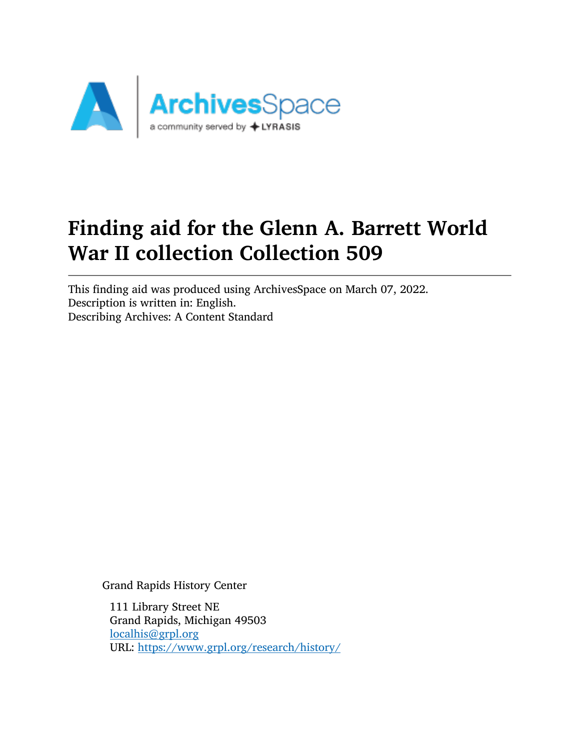

# Finding aid for the Glenn A. Barrett World War II collection Collection 509

This finding aid was produced using ArchivesSpace on March 07, 2022. Description is written in: English. Describing Archives: A Content Standard

Grand Rapids History Center

111 Library Street NE Grand Rapids, Michigan 49503 [localhis@grpl.org](mailto:localhis@grpl.org) URL: <https://www.grpl.org/research/history/>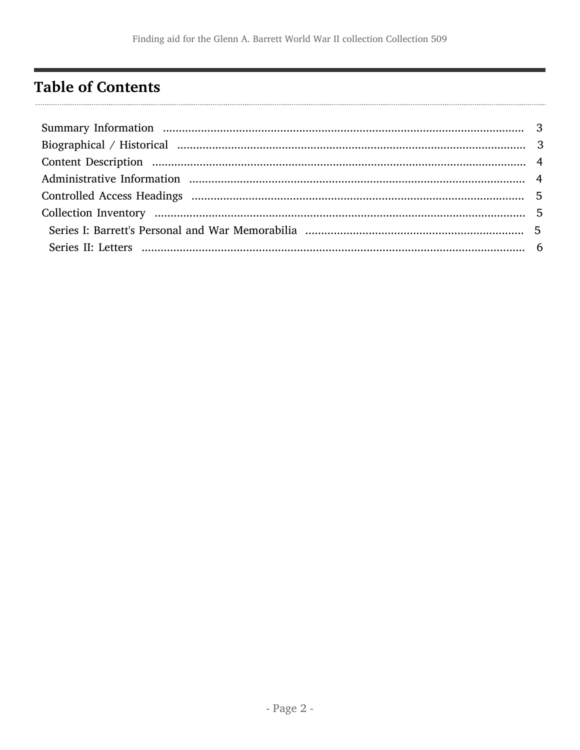## <span id="page-1-0"></span>**Table of Contents**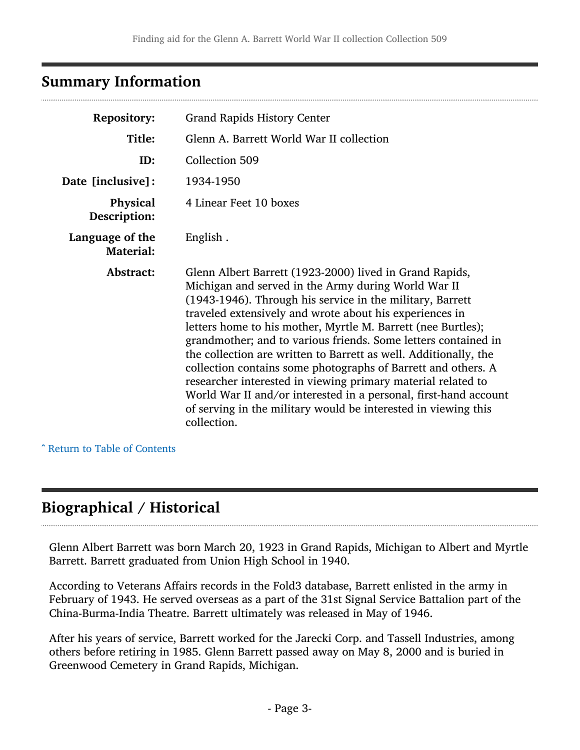## <span id="page-2-0"></span>Summary Information

| <b>Repository:</b>                  | <b>Grand Rapids History Center</b>                                                                                                                                                                                                                                                                                                                                                                                                                                                                                                                                                                                                                                                                                                 |  |  |
|-------------------------------------|------------------------------------------------------------------------------------------------------------------------------------------------------------------------------------------------------------------------------------------------------------------------------------------------------------------------------------------------------------------------------------------------------------------------------------------------------------------------------------------------------------------------------------------------------------------------------------------------------------------------------------------------------------------------------------------------------------------------------------|--|--|
| Title:                              | Glenn A. Barrett World War II collection                                                                                                                                                                                                                                                                                                                                                                                                                                                                                                                                                                                                                                                                                           |  |  |
| ID:                                 | Collection 509                                                                                                                                                                                                                                                                                                                                                                                                                                                                                                                                                                                                                                                                                                                     |  |  |
| Date [inclusive]:                   | 1934-1950                                                                                                                                                                                                                                                                                                                                                                                                                                                                                                                                                                                                                                                                                                                          |  |  |
| <b>Physical</b><br>Description:     | 4 Linear Feet 10 boxes                                                                                                                                                                                                                                                                                                                                                                                                                                                                                                                                                                                                                                                                                                             |  |  |
| Language of the<br><b>Material:</b> | English.                                                                                                                                                                                                                                                                                                                                                                                                                                                                                                                                                                                                                                                                                                                           |  |  |
| <b>Abstract:</b>                    | Glenn Albert Barrett (1923-2000) lived in Grand Rapids,<br>Michigan and served in the Army during World War II<br>(1943-1946). Through his service in the military, Barrett<br>traveled extensively and wrote about his experiences in<br>letters home to his mother, Myrtle M. Barrett (nee Burtles);<br>grandmother; and to various friends. Some letters contained in<br>the collection are written to Barrett as well. Additionally, the<br>collection contains some photographs of Barrett and others. A<br>researcher interested in viewing primary material related to<br>World War II and/or interested in a personal, first-hand account<br>of serving in the military would be interested in viewing this<br>collection. |  |  |

^ [Return to Table of Contents](#page-1-0)

## <span id="page-2-1"></span>Biographical / Historical

Glenn Albert Barrett was born March 20, 1923 in Grand Rapids, Michigan to Albert and Myrtle Barrett. Barrett graduated from Union High School in 1940.

According to Veterans Affairs records in the Fold3 database, Barrett enlisted in the army in February of 1943. He served overseas as a part of the 31st Signal Service Battalion part of the China-Burma-India Theatre. Barrett ultimately was released in May of 1946.

After his years of service, Barrett worked for the Jarecki Corp. and Tassell Industries, among others before retiring in 1985. Glenn Barrett passed away on May 8, 2000 and is buried in Greenwood Cemetery in Grand Rapids, Michigan.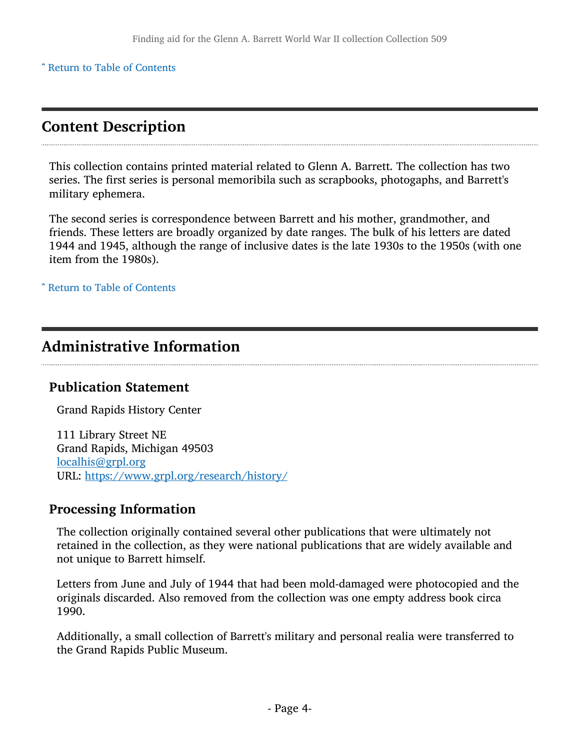^ [Return to Table of Contents](#page-1-0)

## <span id="page-3-0"></span>Content Description

This collection contains printed material related to Glenn A. Barrett. The collection has two series. The first series is personal memoribila such as scrapbooks, photogaphs, and Barrett's military ephemera.

The second series is correspondence between Barrett and his mother, grandmother, and friends. These letters are broadly organized by date ranges. The bulk of his letters are dated 1944 and 1945, although the range of inclusive dates is the late 1930s to the 1950s (with one item from the 1980s).

^ [Return to Table of Contents](#page-1-0)

## <span id="page-3-1"></span>Administrative Information

#### Publication Statement

Grand Rapids History Center

111 Library Street NE Grand Rapids, Michigan 49503 [localhis@grpl.org](mailto:localhis@grpl.org) URL: <https://www.grpl.org/research/history/>

#### Processing Information

The collection originally contained several other publications that were ultimately not retained in the collection, as they were national publications that are widely available and not unique to Barrett himself.

Letters from June and July of 1944 that had been mold-damaged were photocopied and the originals discarded. Also removed from the collection was one empty address book circa 1990.

Additionally, a small collection of Barrett's military and personal realia were transferred to the Grand Rapids Public Museum.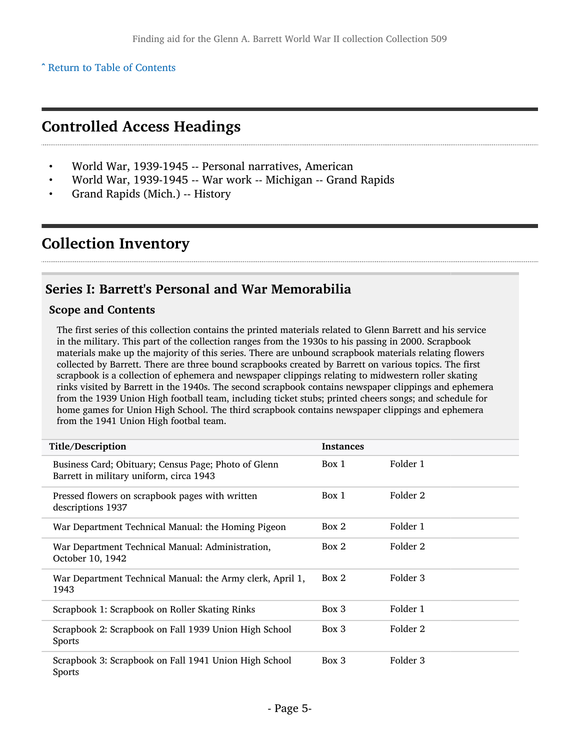^ [Return to Table of Contents](#page-1-0)

## <span id="page-4-0"></span>Controlled Access Headings

- World War, 1939-1945 -- Personal narratives, American
- World War, 1939-1945 -- War work -- Michigan -- Grand Rapids
- Grand Rapids (Mich.) -- History

## <span id="page-4-1"></span>Collection Inventory

#### <span id="page-4-2"></span>Series I: Barrett's Personal and War Memorabilia

#### Scope and Contents

The first series of this collection contains the printed materials related to Glenn Barrett and his service in the military. This part of the collection ranges from the 1930s to his passing in 2000. Scrapbook materials make up the majority of this series. There are unbound scrapbook materials relating flowers collected by Barrett. There are three bound scrapbooks created by Barrett on various topics. The first scrapbook is a collection of ephemera and newspaper clippings relating to midwestern roller skating rinks visited by Barrett in the 1940s. The second scrapbook contains newspaper clippings and ephemera from the 1939 Union High football team, including ticket stubs; printed cheers songs; and schedule for home games for Union High School. The third scrapbook contains newspaper clippings and ephemera from the 1941 Union High footbal team.

| Title/Description                                                                               | <b>Instances</b> |          |  |
|-------------------------------------------------------------------------------------------------|------------------|----------|--|
| Business Card; Obituary; Census Page; Photo of Glenn<br>Barrett in military uniform, circa 1943 | Box 1            | Folder 1 |  |
| Pressed flowers on scrapbook pages with written<br>descriptions 1937                            | Box 1            | Folder 2 |  |
| War Department Technical Manual: the Homing Pigeon                                              | Box 2            | Folder 1 |  |
| War Department Technical Manual: Administration,<br>October 10, 1942                            | Box 2            | Folder 2 |  |
| War Department Technical Manual: the Army clerk, April 1,<br>1943                               | Box 2            | Folder 3 |  |
| Scrapbook 1: Scrapbook on Roller Skating Rinks                                                  | Box 3            | Folder 1 |  |
| Scrapbook 2: Scrapbook on Fall 1939 Union High School<br><b>Sports</b>                          | Box 3            | Folder 2 |  |
| Scrapbook 3: Scrapbook on Fall 1941 Union High School<br><b>Sports</b>                          | Box 3            | Folder 3 |  |